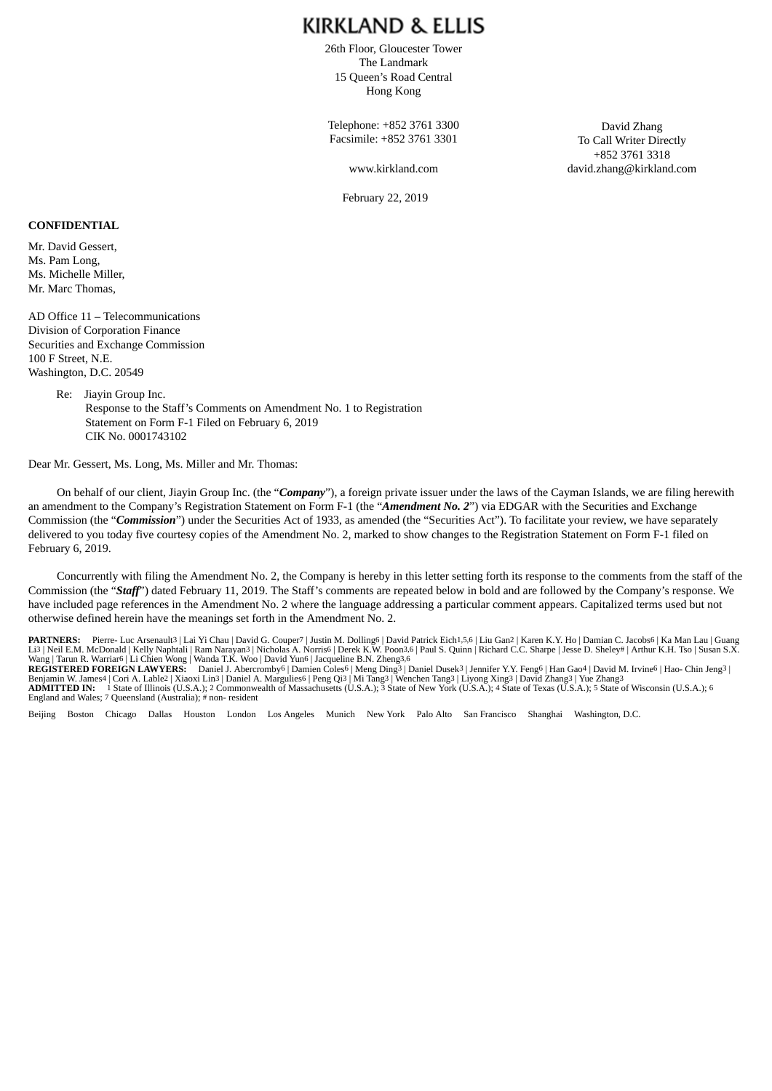26th Floor, Gloucester Tower The Landmark 15 Queen's Road Central Hong Kong

Telephone: +852 3761 3300 Facsimile: +852 3761 3301

www.kirkland.com

February 22, 2019

David Zhang To Call Writer Directly +852 3761 3318 david.zhang@kirkland.com

#### **CONFIDENTIAL**

Mr. David Gessert, Ms. Pam Long, Ms. Michelle Miller, Mr. Marc Thomas,

AD Office 11 – Telecommunications Division of Corporation Finance Securities and Exchange Commission 100 F Street, N.E. Washington, D.C. 20549

> Re: Jiayin Group Inc. Response to the Staff's Comments on Amendment No. 1 to Registration Statement on Form F-1 Filed on February 6, 2019 CIK No. 0001743102

Dear Mr. Gessert, Ms. Long, Ms. Miller and Mr. Thomas:

On behalf of our client, Jiayin Group Inc. (the "*Company*"), a foreign private issuer under the laws of the Cayman Islands, we are filing herewith an amendment to the Company's Registration Statement on Form F-1 (the "*Amendment No. 2*") via EDGAR with the Securities and Exchange Commission (the "*Commission*") under the Securities Act of 1933, as amended (the "Securities Act"). To facilitate your review, we have separately delivered to you today five courtesy copies of the Amendment No. 2, marked to show changes to the Registration Statement on Form F-1 filed on February 6, 2019.

Concurrently with filing the Amendment No. 2, the Company is hereby in this letter setting forth its response to the comments from the staff of the Commission (the "*Staff*") dated February 11, 2019. The Staff's comments are repeated below in bold and are followed by the Company's response. We have included page references in the Amendment No. 2 where the language addressing a particular comment appears. Capitalized terms used but not otherwise defined herein have the meanings set forth in the Amendment No. 2.

PARTNERS: Pierre- Luc Arsenault<sup>3</sup> | Lai Yi Chau | David G. Couper7 | Justin M. Dolling6 | David Patrick Eich1,5,6 | Liu Gan2 | Karen K.Y. Ho | Damian C. Jacobs6 | Ka Man Lau | Guang Li3 | Neil E.M. McDonald | Kelly Naphtali | Ram Narayan3 | Nicholas A. Norris6 | Derek K.W. Poon3.6 | Paul S. Quinn | Richard C.C. Sharpe | Jesse D. Sheley# | Arthur K.H. Tso | Susan S.X.<br>Rang | Tarun R. Warriar6 | Li Chie England and Wales; 7 Queensland (Australia); # non- resident

Beijing Boston Chicago Dallas Houston London Los Angeles Munich New York Palo Alto San Francisco Shanghai Washington, D.C.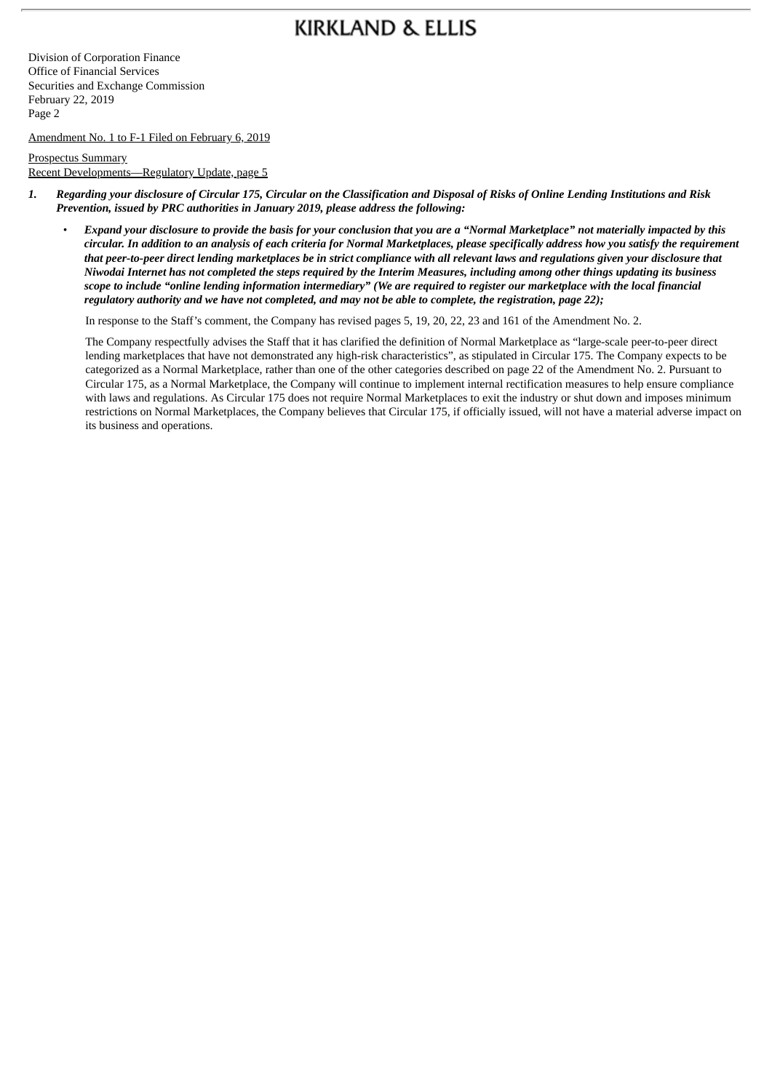Division of Corporation Finance Office of Financial Services Securities and Exchange Commission February 22, 2019 Page 2

Amendment No. 1 to F-1 Filed on February 6, 2019

Prospectus Summary Recent Developments—Regulatory Update, page 5

- 1. Regarding your disclosure of Circular 175, Circular on the Classification and Disposal of Risks of Online Lending Institutions and Risk *Prevention, issued by PRC authorities in January 2019, please address the following:*
	- Expand your disclosure to provide the basis for your conclusion that you are a "Normal Marketplace" not materially impacted by this circular. In addition to an analysis of each criteria for Normal Marketplaces, please specifically address how you satisfy the requirement that peer-to-peer direct lending marketplaces be in strict compliance with all relevant laws and regulations given your disclosure that Niwodai Internet has not completed the steps required by the Interim Measures, including among other things updating its business scope to include "online lending information intermediary" (We are required to register our marketplace with the local financial regulatory authority and we have not completed, and may not be able to complete, the registration, page 22);

In response to the Staff's comment, the Company has revised pages 5, 19, 20, 22, 23 and 161 of the Amendment No. 2.

The Company respectfully advises the Staff that it has clarified the definition of Normal Marketplace as "large-scale peer-to-peer direct lending marketplaces that have not demonstrated any high-risk characteristics", as stipulated in Circular 175. The Company expects to be categorized as a Normal Marketplace, rather than one of the other categories described on page 22 of the Amendment No. 2. Pursuant to Circular 175, as a Normal Marketplace, the Company will continue to implement internal rectification measures to help ensure compliance with laws and regulations. As Circular 175 does not require Normal Marketplaces to exit the industry or shut down and imposes minimum restrictions on Normal Marketplaces, the Company believes that Circular 175, if officially issued, will not have a material adverse impact on its business and operations.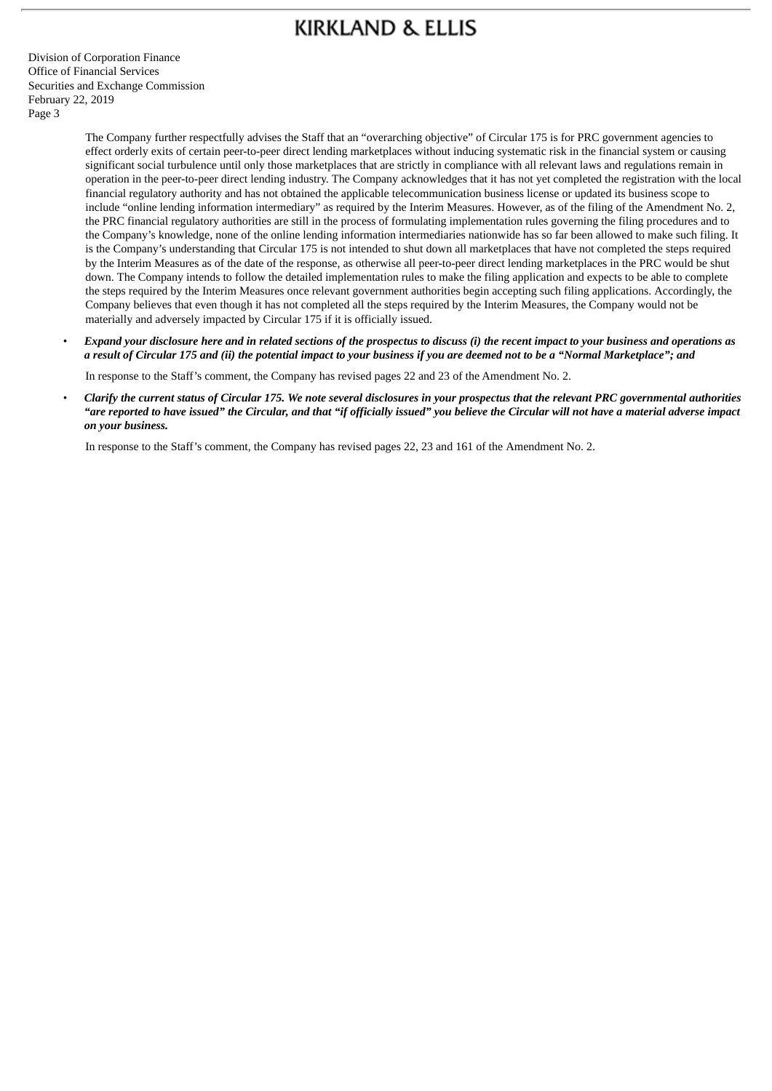Division of Corporation Finance Office of Financial Services Securities and Exchange Commission February 22, 2019 Page 3

> The Company further respectfully advises the Staff that an "overarching objective" of Circular 175 is for PRC government agencies to effect orderly exits of certain peer-to-peer direct lending marketplaces without inducing systematic risk in the financial system or causing significant social turbulence until only those marketplaces that are strictly in compliance with all relevant laws and regulations remain in operation in the peer-to-peer direct lending industry. The Company acknowledges that it has not yet completed the registration with the local financial regulatory authority and has not obtained the applicable telecommunication business license or updated its business scope to include "online lending information intermediary" as required by the Interim Measures. However, as of the filing of the Amendment No. 2, the PRC financial regulatory authorities are still in the process of formulating implementation rules governing the filing procedures and to the Company's knowledge, none of the online lending information intermediaries nationwide has so far been allowed to make such filing. It is the Company's understanding that Circular 175 is not intended to shut down all marketplaces that have not completed the steps required by the Interim Measures as of the date of the response, as otherwise all peer-to-peer direct lending marketplaces in the PRC would be shut down. The Company intends to follow the detailed implementation rules to make the filing application and expects to be able to complete the steps required by the Interim Measures once relevant government authorities begin accepting such filing applications. Accordingly, the Company believes that even though it has not completed all the steps required by the Interim Measures, the Company would not be materially and adversely impacted by Circular 175 if it is officially issued.

Expand your disclosure here and in related sections of the prospectus to discuss (i) the recent impact to your business and operations as a result of Circular 175 and (ii) the potential impact to your business if you are deemed not to be a "Normal Marketplace"; and

In response to the Staff's comment, the Company has revised pages 22 and 23 of the Amendment No. 2.

Clarify the current status of Circular 175. We note several disclosures in your prospectus that the relevant PRC governmental authorities "are reported to have issued" the Circular, and that "if officially issued" you believe the Circular will not have a material adverse impact *on your business.*

In response to the Staff's comment, the Company has revised pages 22, 23 and 161 of the Amendment No. 2.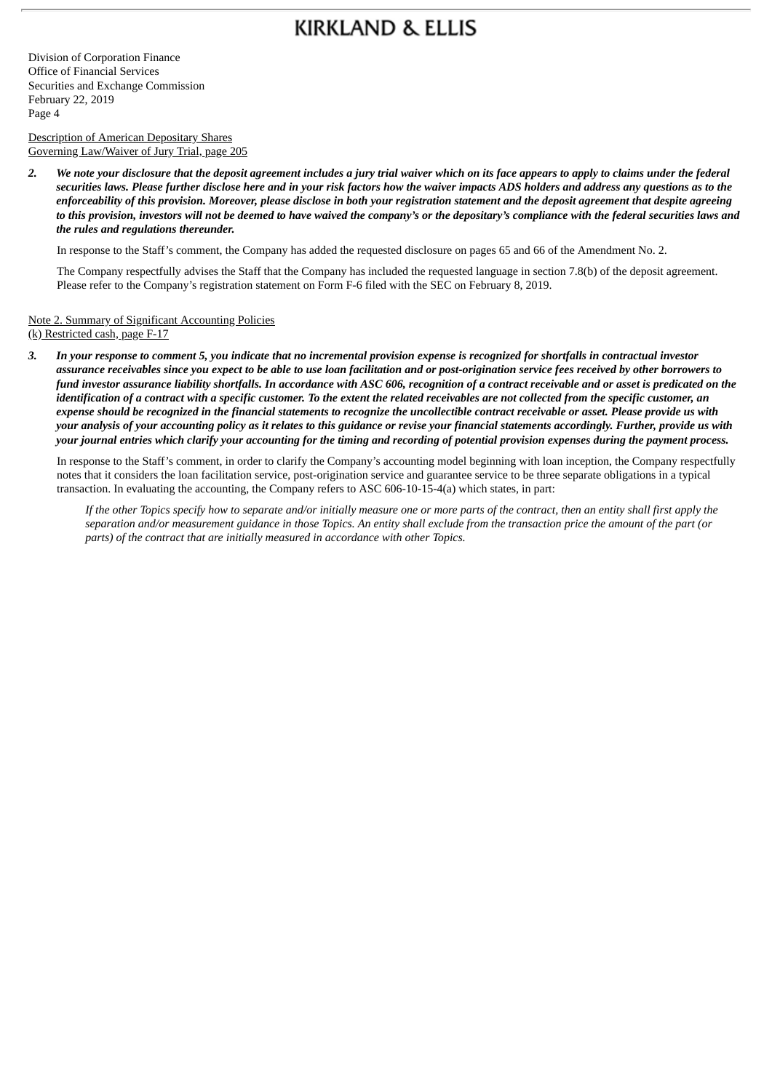Division of Corporation Finance Office of Financial Services Securities and Exchange Commission February 22, 2019 Page 4

Description of American Depositary Shares Governing Law/Waiver of Jury Trial, page 205

2. We note your disclosure that the deposit agreement includes a jury trial waiver which on its face appears to apply to claims under the federal securities laws. Please further disclose here and in your risk factors how the waiver impacts ADS holders and address any questions as to the enforceability of this provision. Moreover, please disclose in both your registration statement and the deposit agreement that despite agreeing to this provision, investors will not be deemed to have waived the company's or the depositary's compliance with the federal securities laws and *the rules and regulations thereunder.*

In response to the Staff's comment, the Company has added the requested disclosure on pages 65 and 66 of the Amendment No. 2.

The Company respectfully advises the Staff that the Company has included the requested language in section 7.8(b) of the deposit agreement. Please refer to the Company's registration statement on Form F-6 filed with the SEC on February 8, 2019.

Note 2. Summary of Significant Accounting Policies (k) Restricted cash, page F-17

3. In your response to comment 5, you indicate that no incremental provision expense is recognized for shortfalls in contractual investor assurance receivables since you expect to be able to use loan facilitation and or post-origination service fees received by other borrowers to fund investor assurance liability shortfalls. In accordance with ASC 606, recognition of a contract receivable and or asset is predicated on the identification of a contract with a specific customer. To the extent the related receivables are not collected from the specific customer, an expense should be recognized in the financial statements to recognize the uncollectible contract receivable or asset. Please provide us with your analysis of your accounting policy as it relates to this quidance or revise your financial statements accordinaly. Further, provide us with your journal entries which clarify your accounting for the timing and recording of potential provision expenses during the payment process.

In response to the Staff's comment, in order to clarify the Company's accounting model beginning with loan inception, the Company respectfully notes that it considers the loan facilitation service, post-origination service and guarantee service to be three separate obligations in a typical transaction. In evaluating the accounting, the Company refers to ASC 606-10-15-4(a) which states, in part:

If the other Topics specify how to separate and/or initially measure one or more parts of the contract, then an entity shall first apply the separation and/or measurement quidance in those Topics. An entity shall exclude from the transaction price the amount of the part (or *parts) of the contract that are initially measured in accordance with other Topics.*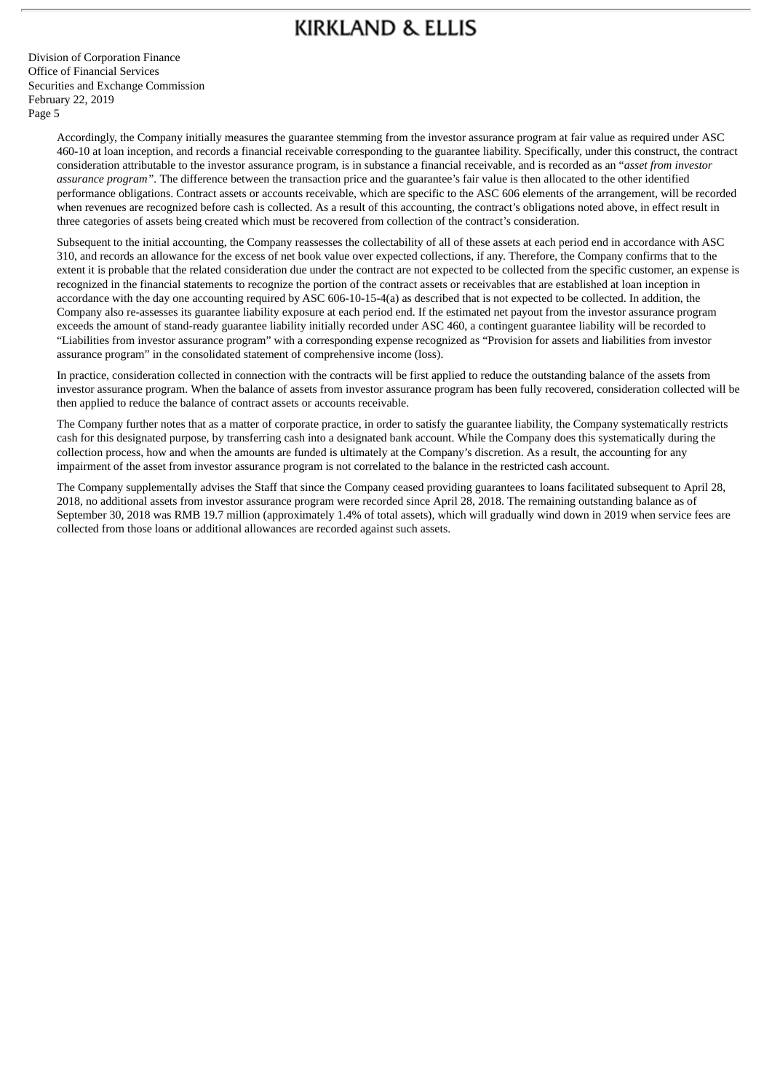Division of Corporation Finance Office of Financial Services Securities and Exchange Commission February 22, 2019 Page 5

> Accordingly, the Company initially measures the guarantee stemming from the investor assurance program at fair value as required under ASC 460-10 at loan inception, and records a financial receivable corresponding to the guarantee liability. Specifically, under this construct, the contract consideration attributable to the investor assurance program, is in substance a financial receivable, and is recorded as an "*asset from investor assurance program".* The difference between the transaction price and the guarantee's fair value is then allocated to the other identified performance obligations. Contract assets or accounts receivable, which are specific to the ASC 606 elements of the arrangement, will be recorded when revenues are recognized before cash is collected. As a result of this accounting, the contract's obligations noted above, in effect result in three categories of assets being created which must be recovered from collection of the contract's consideration.

> Subsequent to the initial accounting, the Company reassesses the collectability of all of these assets at each period end in accordance with ASC 310, and records an allowance for the excess of net book value over expected collections, if any. Therefore, the Company confirms that to the extent it is probable that the related consideration due under the contract are not expected to be collected from the specific customer, an expense is recognized in the financial statements to recognize the portion of the contract assets or receivables that are established at loan inception in accordance with the day one accounting required by ASC 606-10-15-4(a) as described that is not expected to be collected. In addition, the Company also re-assesses its guarantee liability exposure at each period end. If the estimated net payout from the investor assurance program exceeds the amount of stand-ready guarantee liability initially recorded under ASC 460, a contingent guarantee liability will be recorded to "Liabilities from investor assurance program" with a corresponding expense recognized as "Provision for assets and liabilities from investor assurance program" in the consolidated statement of comprehensive income (loss).

> In practice, consideration collected in connection with the contracts will be first applied to reduce the outstanding balance of the assets from investor assurance program. When the balance of assets from investor assurance program has been fully recovered, consideration collected will be then applied to reduce the balance of contract assets or accounts receivable.

The Company further notes that as a matter of corporate practice, in order to satisfy the guarantee liability, the Company systematically restricts cash for this designated purpose, by transferring cash into a designated bank account. While the Company does this systematically during the collection process, how and when the amounts are funded is ultimately at the Company's discretion. As a result, the accounting for any impairment of the asset from investor assurance program is not correlated to the balance in the restricted cash account.

The Company supplementally advises the Staff that since the Company ceased providing guarantees to loans facilitated subsequent to April 28, 2018, no additional assets from investor assurance program were recorded since April 28, 2018. The remaining outstanding balance as of September 30, 2018 was RMB 19.7 million (approximately 1.4% of total assets), which will gradually wind down in 2019 when service fees are collected from those loans or additional allowances are recorded against such assets.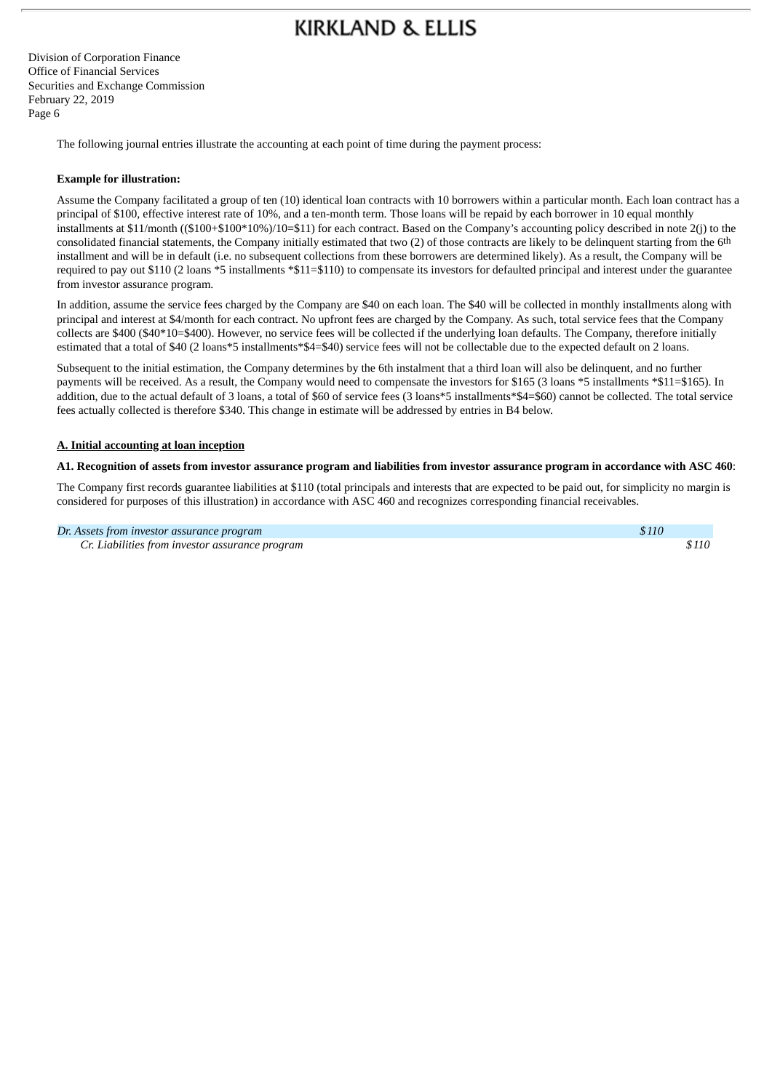Division of Corporation Finance Office of Financial Services Securities and Exchange Commission February 22, 2019 Page 6

The following journal entries illustrate the accounting at each point of time during the payment process:

#### **Example for illustration:**

Assume the Company facilitated a group of ten (10) identical loan contracts with 10 borrowers within a particular month. Each loan contract has a principal of \$100, effective interest rate of 10%, and a ten-month term. Those loans will be repaid by each borrower in 10 equal monthly installments at \$11/month ((\$100+\$100\*10%)/10=\$11) for each contract. Based on the Company's accounting policy described in note 2(j) to the consolidated financial statements, the Company initially estimated that two (2) of those contracts are likely to be delinquent starting from the 6th installment and will be in default (i.e. no subsequent collections from these borrowers are determined likely). As a result, the Company will be required to pay out \$110 (2 loans \*5 installments \*\$11=\$110) to compensate its investors for defaulted principal and interest under the guarantee from investor assurance program.

In addition, assume the service fees charged by the Company are \$40 on each loan. The \$40 will be collected in monthly installments along with principal and interest at \$4/month for each contract. No upfront fees are charged by the Company. As such, total service fees that the Company collects are \$400 (\$40\*10=\$400). However, no service fees will be collected if the underlying loan defaults. The Company, therefore initially estimated that a total of \$40 (2 loans\*5 installments\*\$4=\$40) service fees will not be collectable due to the expected default on 2 loans.

Subsequent to the initial estimation, the Company determines by the 6th instalment that a third loan will also be delinquent, and no further payments will be received. As a result, the Company would need to compensate the investors for \$165 (3 loans \*5 installments \*\$11=\$165). In addition, due to the actual default of 3 loans, a total of \$60 of service fees (3 loans\*5 installments\*\$4=\$60) cannot be collected. The total service fees actually collected is therefore \$340. This change in estimate will be addressed by entries in B4 below.

#### **A. Initial accounting at loan inception**

#### A1. Recognition of assets from investor assurance program and liabilities from investor assurance program in accordance with ASC 460:

The Company first records guarantee liabilities at \$110 (total principals and interests that are expected to be paid out, for simplicity no margin is considered for purposes of this illustration) in accordance with ASC 460 and recognizes corresponding financial receivables.

*Dr. Assets from investor assurance program \$110*

*Cr. Liabilities from investor assurance program \$110*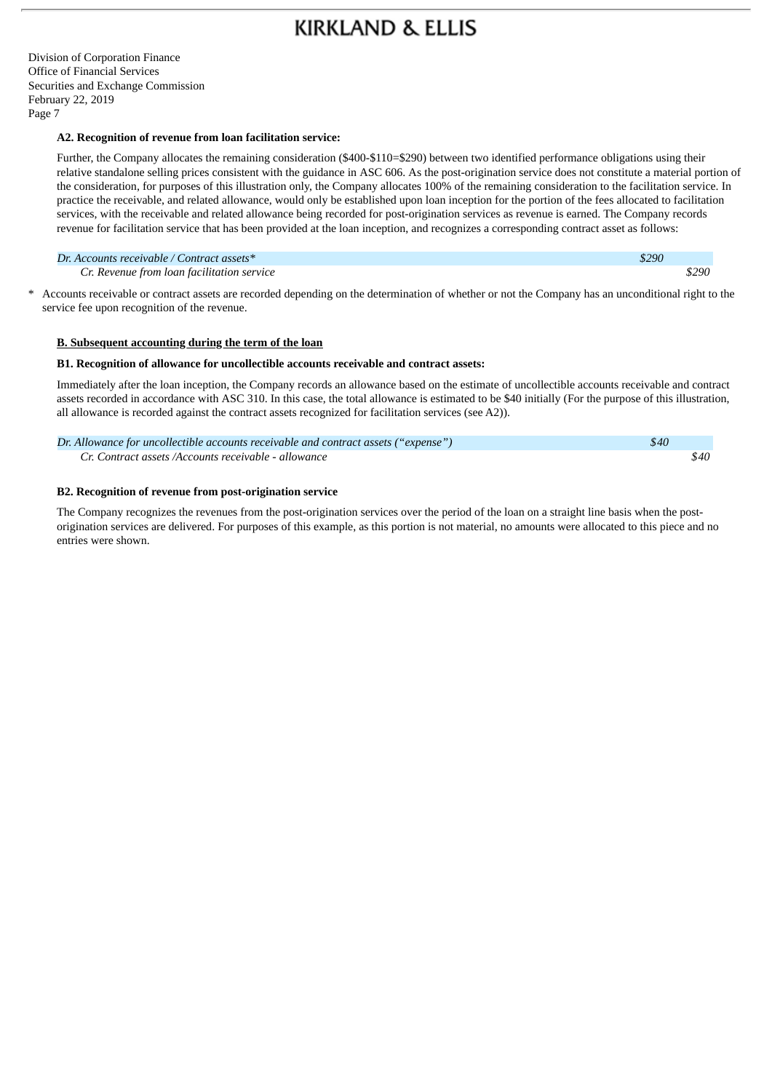Division of Corporation Finance Office of Financial Services Securities and Exchange Commission February 22, 2019 Page 7

#### **A2. Recognition of revenue from loan facilitation service:**

Further, the Company allocates the remaining consideration (\$400-\$110=\$290) between two identified performance obligations using their relative standalone selling prices consistent with the guidance in ASC 606. As the post-origination service does not constitute a material portion of the consideration, for purposes of this illustration only, the Company allocates 100% of the remaining consideration to the facilitation service. In practice the receivable, and related allowance, would only be established upon loan inception for the portion of the fees allocated to facilitation services, with the receivable and related allowance being recorded for post-origination services as revenue is earned. The Company records revenue for facilitation service that has been provided at the loan inception, and recognizes a corresponding contract asset as follows:

#### *Dr. Accounts receivable / Contract assets\* \$290*

*Cr. Revenue from loan facilitation service \$290*

\* Accounts receivable or contract assets are recorded depending on the determination of whether or not the Company has an unconditional right to the service fee upon recognition of the revenue.

#### **B. Subsequent accounting during the term of the loan**

#### **B1. Recognition of allowance for uncollectible accounts receivable and contract assets:**

Immediately after the loan inception, the Company records an allowance based on the estimate of uncollectible accounts receivable and contract assets recorded in accordance with ASC 310. In this case, the total allowance is estimated to be \$40 initially (For the purpose of this illustration, all allowance is recorded against the contract assets recognized for facilitation services (see A2)).

| Dr. Allowance for uncollectible accounts receivable and contract assets ("expense") | \$40 |      |
|-------------------------------------------------------------------------------------|------|------|
| Cr. Contract assets /Accounts receivable - allowance                                |      | \$40 |

#### **B2. Recognition of revenue from post-origination service**

The Company recognizes the revenues from the post-origination services over the period of the loan on a straight line basis when the postorigination services are delivered. For purposes of this example, as this portion is not material, no amounts were allocated to this piece and no entries were shown.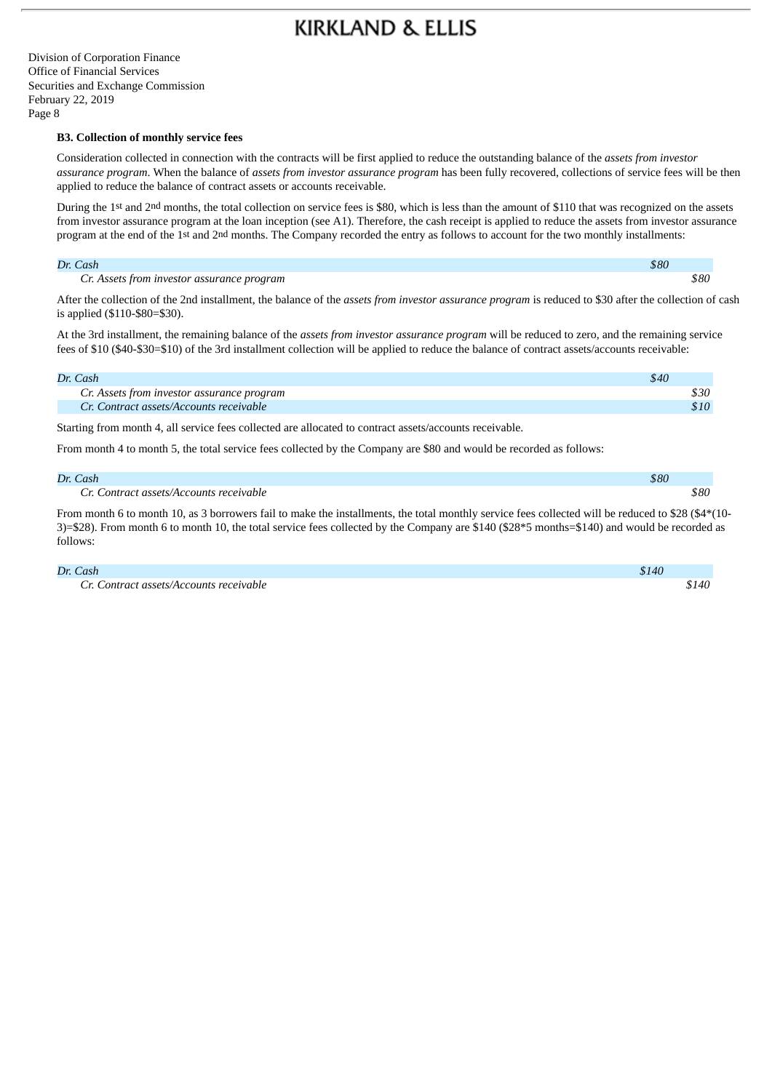Division of Corporation Finance Office of Financial Services Securities and Exchange Commission February 22, 2019 Page 8

#### **B3. Collection of monthly service fees**

Consideration collected in connection with the contracts will be first applied to reduce the outstanding balance of the *assets from investor assurance program*. When the balance of *assets from investor assurance program* has been fully recovered, collections of service fees will be then applied to reduce the balance of contract assets or accounts receivable.

During the 1st and 2nd months, the total collection on service fees is \$80, which is less than the amount of \$110 that was recognized on the assets from investor assurance program at the loan inception (see A1). Therefore, the cash receipt is applied to reduce the assets from investor assurance program at the end of the 1st and 2nd months. The Company recorded the entry as follows to account for the two monthly installments:

#### *Dr. Cash \$80*

*Cr. Assets from investor assurance program \$80*

After the collection of the 2nd installment, the balance of the *assets from investor assurance program* is reduced to \$30 after the collection of cash is applied (\$110-\$80=\$30).

At the 3rd installment, the remaining balance of the *assets from investor assurance program* will be reduced to zero, and the remaining service fees of \$10 (\$40-\$30=\$10) of the 3rd installment collection will be applied to reduce the balance of contract assets/accounts receivable:

| Dr. Cash                                   | \$40 |
|--------------------------------------------|------|
| Cr. Assets from investor assurance program | \$30 |
| Cr. Contract assets/Accounts receivable    | \$10 |

Starting from month 4, all service fees collected are allocated to contract assets/accounts receivable.

From month 4 to month 5, the total service fees collected by the Company are \$80 and would be recorded as follows:

| Dr. Cash                                           | \$80 |      |
|----------------------------------------------------|------|------|
| $C_{r-1}$<br>: Contract assets/Accounts receivable |      | \$80 |

From month 6 to month 10, as 3 borrowers fail to make the installments, the total monthly service fees collected will be reduced to \$28 (\$4\*(10-3)=\$28). From month 6 to month 10, the total service fees collected by the Company are \$140 (\$28\*5 months=\$140) and would be recorded as follows:

#### *Dr. Cash \$140*

*Cr. Contract assets/Accounts receivable \$140*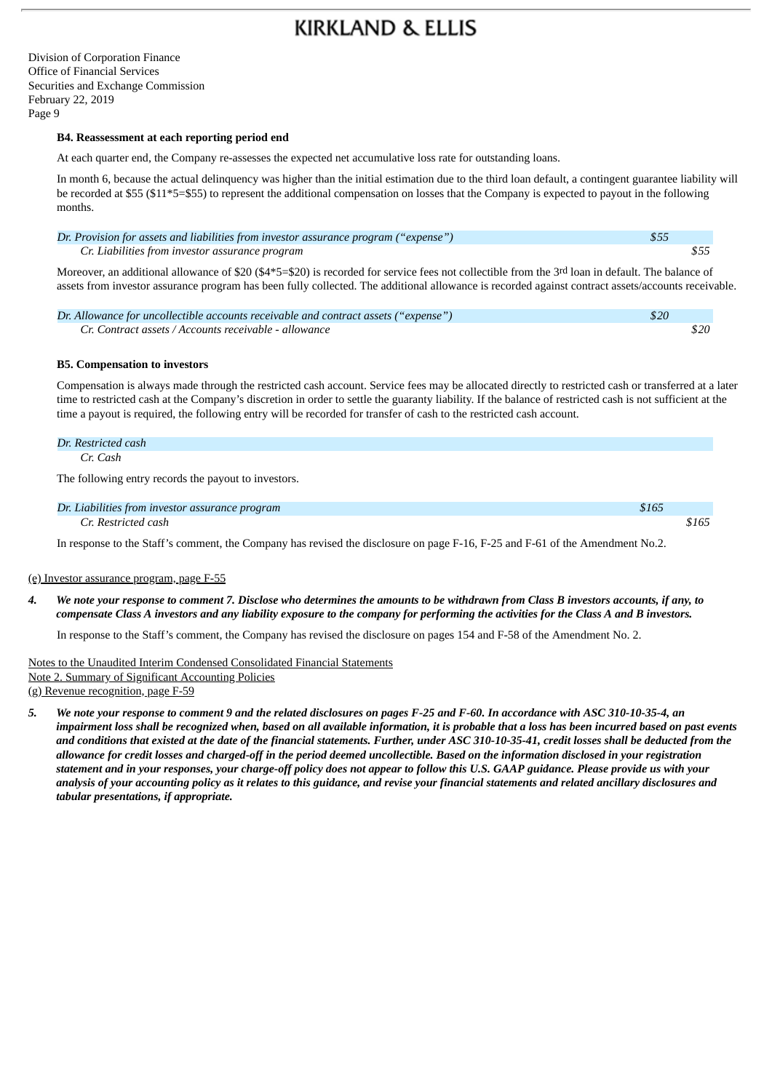Division of Corporation Finance Office of Financial Services Securities and Exchange Commission February 22, 2019 Page 9

#### **B4. Reassessment at each reporting period end**

At each quarter end, the Company re-assesses the expected net accumulative loss rate for outstanding loans.

In month 6, because the actual delinquency was higher than the initial estimation due to the third loan default, a contingent guarantee liability will be recorded at \$55 (\$11\*5=\$55) to represent the additional compensation on losses that the Company is expected to payout in the following months.

| Dr. Provision for assets and liabilities from investor assurance program ("expense") | \$55 |  |
|--------------------------------------------------------------------------------------|------|--|
| Cr. Liabilities from investor assurance program                                      |      |  |

Moreover, an additional allowance of \$20 (\$4\*5=\$20) is recorded for service fees not collectible from the 3rd loan in default. The balance of assets from investor assurance program has been fully collected. The additional allowance is recorded against contract assets/accounts receivable.

| Dr. Allowance for uncollectible accounts receivable and contract assets ("expense") | \$20 |      |
|-------------------------------------------------------------------------------------|------|------|
| Cr. Contract assets / Accounts receivable - allowance                               |      | \$20 |

#### **B5. Compensation to investors**

Compensation is always made through the restricted cash account. Service fees may be allocated directly to restricted cash or transferred at a later time to restricted cash at the Company's discretion in order to settle the guaranty liability. If the balance of restricted cash is not sufficient at the time a payout is required, the following entry will be recorded for transfer of cash to the restricted cash account.

#### *Dr. Restricted cash*

*Cr. Cash*

The following entry records the payout to investors.

| Dr. Liabilities from investor assurance program | \$165 |
|-------------------------------------------------|-------|
| Cr. Restricted cash                             | \$165 |

In response to the Staff's comment, the Company has revised the disclosure on page F-16, F-25 and F-61 of the Amendment No.2.

#### (e) Investor assurance program, page F-55

4. We note your response to comment 7. Disclose who determines the amounts to be withdrawn from Class B investors accounts, if any, to compensate Class A investors and any liability exposure to the company for performing the activities for the Class A and B investors.

In response to the Staff's comment, the Company has revised the disclosure on pages 154 and F-58 of the Amendment No. 2.

### Notes to the Unaudited Interim Condensed Consolidated Financial Statements Note 2. Summary of Significant Accounting Policies

(g) Revenue recognition, page F-59

5. We note your response to comment 9 and the related disclosures on pages F-25 and F-60. In accordance with ASC 310-10-35-4, an impairment loss shall be recognized when, based on all available information, it is probable that a loss has been incurred based on past events and conditions that existed at the date of the financial statements. Further, under ASC 310-10-35-41, credit losses shall be deducted from the allowance for credit losses and charged-off in the period deemed uncollectible. Based on the information disclosed in your registration statement and in your responses, your charge-off policy does not appear to follow this U.S. GAAP guidance. Please provide us with your analysis of your accounting policy as it relates to this guidance, and revise your financial statements and related ancillary disclosures and *tabular presentations, if appropriate.*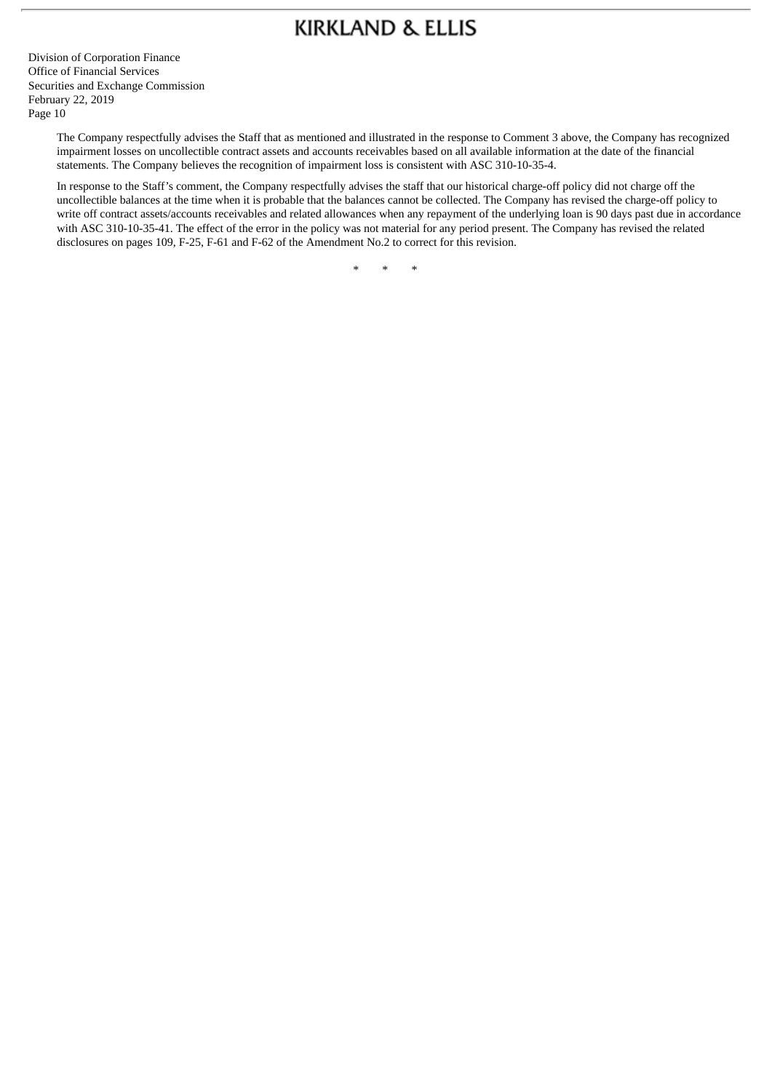Division of Corporation Finance Office of Financial Services Securities and Exchange Commission February 22, 2019 Page 10

> The Company respectfully advises the Staff that as mentioned and illustrated in the response to Comment 3 above, the Company has recognized impairment losses on uncollectible contract assets and accounts receivables based on all available information at the date of the financial statements. The Company believes the recognition of impairment loss is consistent with ASC 310-10-35-4.

In response to the Staff's comment, the Company respectfully advises the staff that our historical charge-off policy did not charge off the uncollectible balances at the time when it is probable that the balances cannot be collected. The Company has revised the charge-off policy to write off contract assets/accounts receivables and related allowances when any repayment of the underlying loan is 90 days past due in accordance with ASC 310-10-35-41. The effect of the error in the policy was not material for any period present. The Company has revised the related disclosures on pages 109, F-25, F-61 and F-62 of the Amendment No.2 to correct for this revision.

\* \* \*